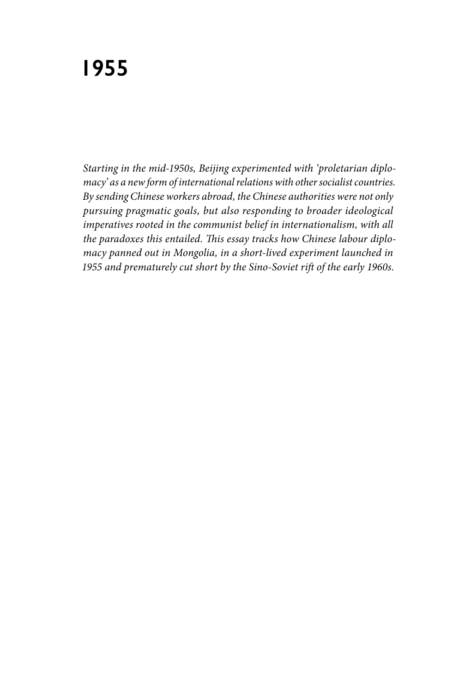*Starting in the mid-1950s, Beijing experimented with 'proletarian diplomacy' as a new form of international relations with other socialist countries. By sending Chinese workers abroad, the Chinese authorities were not only pursuing pragmatic goals, but also responding to broader ideological imperatives rooted in the communist belief in internationalism, with all the paradoxes this entailed. This essay tracks how Chinese labour diplomacy panned out in Mongolia, in a short-lived experiment launched in 1955 and prematurely cut short by the Sino-Soviet rift of the early 1960s.*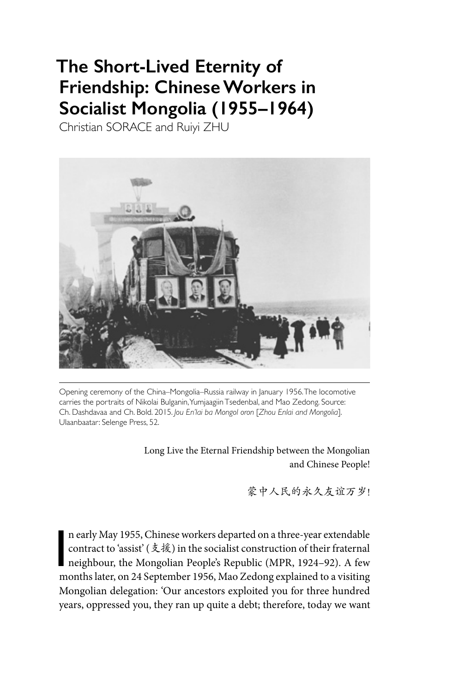# **The Short-Lived Eternity of Friendship: Chinese Workers in Socialist Mongolia (1955–1964)**

Christian SORACE and Ruiyi ZHU



Opening ceremony of the China–Mongolia–Russia railway in January 1956. The locomotive carries the portraits of Nikolai Bulganin, Yumjaagiin Tsedenbal, and Mao Zedong. Source: Ch. Dashdavaa and Ch. Bold. 2015. *Jou En'lai ba Mongol oron* [*Zhou Enlai and Mongolia*]. Ulaanbaatar: Selenge Press, 52.

> Long Live the Eternal Friendship between the Mongolian and Chinese People!

> > 蒙中人民的永久友谊万岁!

I<br>I<br>I n early May 1955, Chinese workers departed on a three-year extendable contract to 'assist' (支援) in the socialist construction of their fraternal neighbour, the Mongolian People's Republic (MPR, 1924–92). A few months later, on 24 September 1956, Mao Zedong explained to a visiting Mongolian delegation: 'Our ancestors exploited you for three hundred years, oppressed you, they ran up quite a debt; therefore, today we want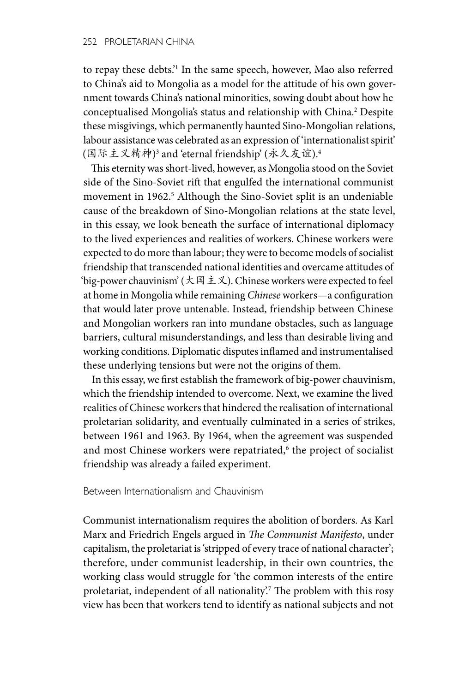to repay these debts.'1 In the same speech, however, Mao also referred to China's aid to Mongolia as a model for the attitude of his own government towards China's national minorities, sowing doubt about how he conceptualised Mongolia's status and relationship with China.2 Despite these misgivings, which permanently haunted Sino-Mongolian relations, labour assistance was celebrated as an expression of 'internationalist spirit' (国际主义精神)3 and 'eternal friendship' (永久友谊).4

This eternity was short-lived, however, as Mongolia stood on the Soviet side of the Sino-Soviet rift that engulfed the international communist movement in 1962.<sup>5</sup> Although the Sino-Soviet split is an undeniable cause of the breakdown of Sino-Mongolian relations at the state level, in this essay, we look beneath the surface of international diplomacy to the lived experiences and realities of workers. Chinese workers were expected to do more than labour; they were to become models of socialist friendship that transcended national identities and overcame attitudes of 'big-power chauvinism' (大国主义). Chinese workers were expected to feel at home in Mongolia while remaining *Chinese* workers—a configuration that would later prove untenable. Instead, friendship between Chinese and Mongolian workers ran into mundane obstacles, such as language barriers, cultural misunderstandings, and less than desirable living and working conditions. Diplomatic disputes inflamed and instrumentalised these underlying tensions but were not the origins of them.

In this essay, we first establish the framework of big-power chauvinism, which the friendship intended to overcome. Next, we examine the lived realities of Chinese workers that hindered the realisation of international proletarian solidarity, and eventually culminated in a series of strikes, between 1961 and 1963. By 1964, when the agreement was suspended and most Chinese workers were repatriated,<sup>6</sup> the project of socialist friendship was already a failed experiment.

#### Between Internationalism and Chauvinism

Communist internationalism requires the abolition of borders. As Karl Marx and Friedrich Engels argued in *The Communist Manifesto*, under capitalism, the proletariat is 'stripped of every trace of national character'; therefore, under communist leadership, in their own countries, the working class would struggle for 'the common interests of the entire proletariat, independent of all nationality'.7 The problem with this rosy view has been that workers tend to identify as national subjects and not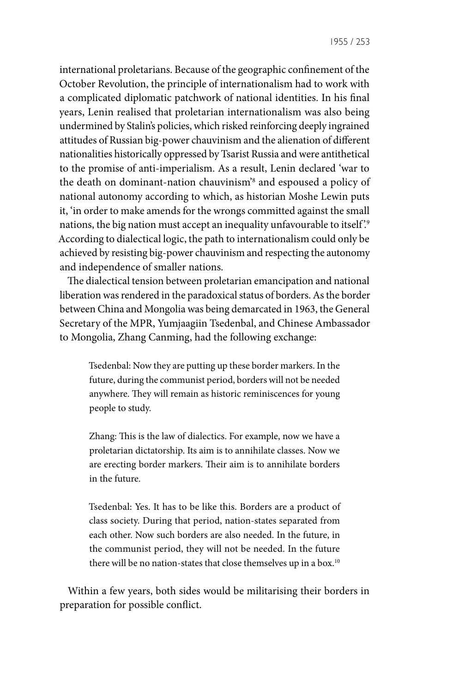1955 / 253

international proletarians. Because of the geographic confinement of the October Revolution, the principle of internationalism had to work with a complicated diplomatic patchwork of national identities. In his final years, Lenin realised that proletarian internationalism was also being undermined by Stalin's policies, which risked reinforcing deeply ingrained attitudes of Russian big-power chauvinism and the alienation of different nationalities historically oppressed by Tsarist Russia and were antithetical to the promise of anti-imperialism. As a result, Lenin declared 'war to the death on dominant-nation chauvinism'8 and espoused a policy of national autonomy according to which, as historian Moshe Lewin puts it, 'in order to make amends for the wrongs committed against the small nations, the big nation must accept an inequality unfavourable to itself.<sup>9</sup> According to dialectical logic, the path to internationalism could only be achieved by resisting big-power chauvinism and respecting the autonomy and independence of smaller nations.

The dialectical tension between proletarian emancipation and national liberation was rendered in the paradoxical status of borders. As the border between China and Mongolia was being demarcated in 1963, the General Secretary of the MPR, Yumjaagiin Tsedenbal, and Chinese Ambassador to Mongolia, Zhang Canming, had the following exchange:

Tsedenbal: Now they are putting up these border markers. In the future, during the communist period, borders will not be needed anywhere. They will remain as historic reminiscences for young people to study.

Zhang: This is the law of dialectics. For example, now we have a proletarian dictatorship. Its aim is to annihilate classes. Now we are erecting border markers. Their aim is to annihilate borders in the future.

Tsedenbal: Yes. It has to be like this. Borders are a product of class society. During that period, nation-states separated from each other. Now such borders are also needed. In the future, in the communist period, they will not be needed. In the future there will be no nation-states that close themselves up in a box.<sup>10</sup>

Within a few years, both sides would be militarising their borders in preparation for possible conflict.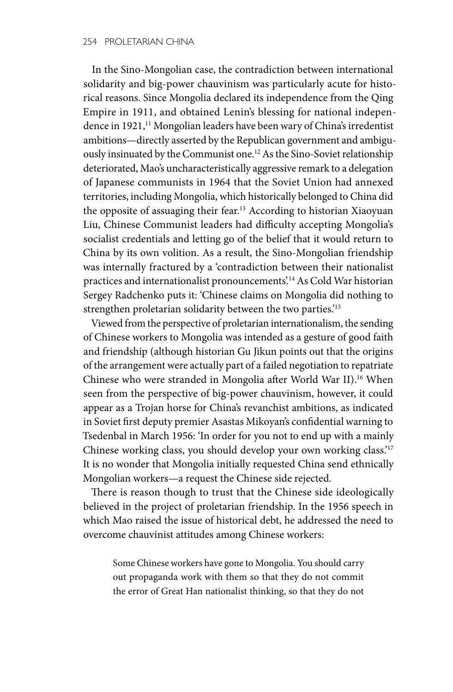In the Sino-Mongolian case, the contradiction between international solidarity and big-power chauvinism was particularly acute for historical reasons. Since Mongolia declared its independence from the Qing Empire in 1911, and obtained Lenin's blessing for national independence in 1921,<sup>11</sup> Mongolian leaders have been wary of China's irredentist ambitions—directly asserted by the Republican government and ambiguously insinuated by the Communist one.12 As the Sino-Soviet relationship deteriorated, Mao's uncharacteristically aggressive remark to a delegation of Japanese communists in 1964 that the Soviet Union had annexed territories, including Mongolia, which historically belonged to China did the opposite of assuaging their fear.<sup>13</sup> According to historian Xiaoyuan Liu, Chinese Communist leaders had difficulty accepting Mongolia's socialist credentials and letting go of the belief that it would return to China by its own volition. As a result, the Sino-Mongolian friendship was internally fractured by a 'contradiction between their nationalist practices and internationalist pronouncements'.<sup>14</sup> As Cold War historian Sergey Radchenko puts it: 'Chinese claims on Mongolia did nothing to strengthen proletarian solidarity between the two parties.'15

Viewed from the perspective of proletarian internationalism, the sending of Chinese workers to Mongolia was intended as a gesture of good faith and friendship (although historian Gu Jikun points out that the origins of the arrangement were actually part of a failed negotiation to repatriate Chinese who were stranded in Mongolia after World War II).16 When seen from the perspective of big-power chauvinism, however, it could appear as a Trojan horse for China's revanchist ambitions, as indicated in Soviet first deputy premier Asastas Mikoyan's confidential warning to Tsedenbal in March 1956: 'In order for you not to end up with a mainly Chinese working class, you should develop your own working class.'17 It is no wonder that Mongolia initially requested China send ethnically Mongolian workers—a request the Chinese side rejected.

There is reason though to trust that the Chinese side ideologically believed in the project of proletarian friendship. In the 1956 speech in which Mao raised the issue of historical debt, he addressed the need to overcome chauvinist attitudes among Chinese workers:

Some Chinese workers have gone to Mongolia. You should carry out propaganda work with them so that they do not commit the error of Great Han nationalist thinking, so that they do not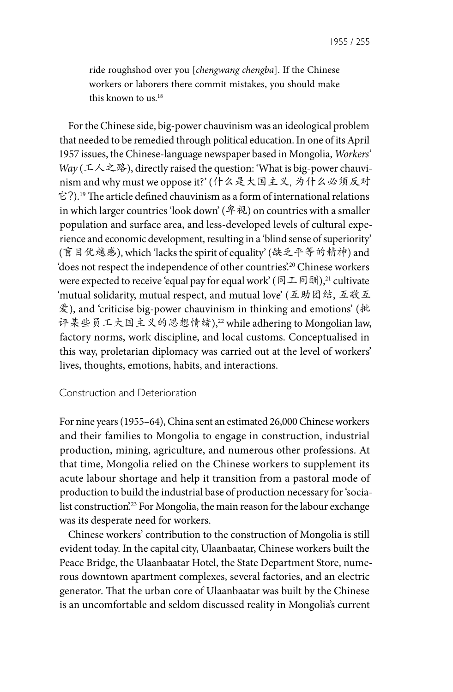ride roughshod over you [*chengwang chengba*]. If the Chinese workers or laborers there commit mistakes, you should make this known to us.18

For the Chinese side, big-power chauvinism was an ideological problem that needed to be remedied through political education. In one of its April 1957 issues, the Chinese-language newspaper based in Mongolia, *Workers' Way* (工人之路), directly raised the question: 'What is big-power chauvinism and why must we oppose it?' (什么是大国主义, 为什么必须反对 它?).19 The article defined chauvinism as a form of international relations in which larger countries 'look down' (卑视) on countries with a smaller population and surface area, and less-developed levels of cultural experience and economic development, resulting in a 'blind sense of superiority' (盲目优越感), which 'lacks the spirit of equality' (缺乏平等的精神) and 'does not respect the independence of other countries'.20 Chinese workers were expected to receive 'equal pay for equal work' (同工同酬),<sup>21</sup> cultivate 'mutual solidarity, mutual respect, and mutual love' (互助团结, 互敬互 爱), and 'criticise big-power chauvinism in thinking and emotions' (批 评某些员工大国主义的思想情绪),22 while adhering to Mongolian law, factory norms, work discipline, and local customs. Conceptualised in this way, proletarian diplomacy was carried out at the level of workers' lives, thoughts, emotions, habits, and interactions.

#### Construction and Deterioration

For nine years (1955–64), China sent an estimated 26,000 Chinese workers and their families to Mongolia to engage in construction, industrial production, mining, agriculture, and numerous other professions. At that time, Mongolia relied on the Chinese workers to supplement its acute labour shortage and help it transition from a pastoral mode of production to build the industrial base of production necessary for 'socialist construction.<sup>23</sup> For Mongolia, the main reason for the labour exchange was its desperate need for workers.

Chinese workers' contribution to the construction of Mongolia is still evident today. In the capital city, Ulaanbaatar, Chinese workers built the Peace Bridge, the Ulaanbaatar Hotel, the State Department Store, numerous downtown apartment complexes, several factories, and an electric generator. That the urban core of Ulaanbaatar was built by the Chinese is an uncomfortable and seldom discussed reality in Mongolia's current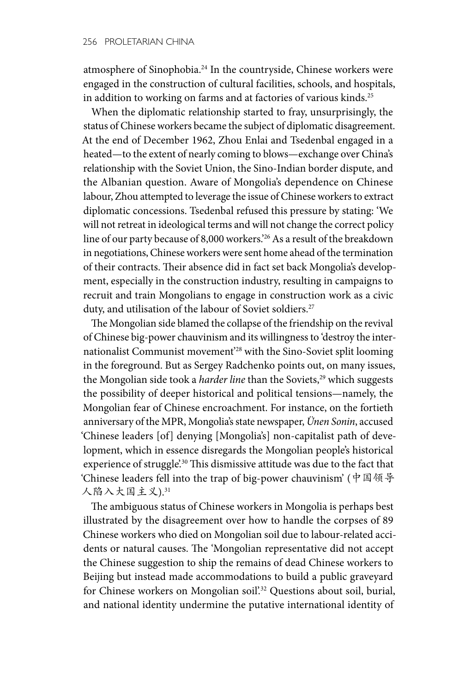atmosphere of Sinophobia.24 In the countryside, Chinese workers were engaged in the construction of cultural facilities, schools, and hospitals, in addition to working on farms and at factories of various kinds.<sup>25</sup>

When the diplomatic relationship started to fray, unsurprisingly, the status of Chinese workers became the subject of diplomatic disagreement. At the end of December 1962, Zhou Enlai and Tsedenbal engaged in a heated—to the extent of nearly coming to blows—exchange over China's relationship with the Soviet Union, the Sino-Indian border dispute, and the Albanian question. Aware of Mongolia's dependence on Chinese labour, Zhou attempted to leverage the issue of Chinese workers to extract diplomatic concessions. Tsedenbal refused this pressure by stating: 'We will not retreat in ideological terms and will not change the correct policy line of our party because of 8,000 workers.'26 As a result of the breakdown in negotiations, Chinese workers were sent home ahead of the termination of their contracts. Their absence did in fact set back Mongolia's development, especially in the construction industry, resulting in campaigns to recruit and train Mongolians to engage in construction work as a civic duty, and utilisation of the labour of Soviet soldiers.<sup>27</sup>

The Mongolian side blamed the collapse of the friendship on the revival of Chinese big-power chauvinism and its willingness to 'destroy the internationalist Communist movement'28 with the Sino-Soviet split looming in the foreground. But as Sergey Radchenko points out, on many issues, the Mongolian side took a *harder line* than the Soviets,<sup>29</sup> which suggests the possibility of deeper historical and political tensions—namely, the Mongolian fear of Chinese encroachment. For instance, on the fortieth anniversary of the MPR, Mongolia's state newspaper, *Ünen Sonin*, accused 'Chinese leaders [of] denying [Mongolia's] non-capitalist path of development, which in essence disregards the Mongolian people's historical experience of struggle.<sup>30</sup> This dismissive attitude was due to the fact that 'Chinese leaders fell into the trap of big-power chauvinism' (中国领导 人陷入大国主义).31

The ambiguous status of Chinese workers in Mongolia is perhaps best illustrated by the disagreement over how to handle the corpses of 89 Chinese workers who died on Mongolian soil due to labour-related accidents or natural causes. The 'Mongolian representative did not accept the Chinese suggestion to ship the remains of dead Chinese workers to Beijing but instead made accommodations to build a public graveyard for Chinese workers on Mongolian soil.<sup>32</sup> Questions about soil, burial, and national identity undermine the putative international identity of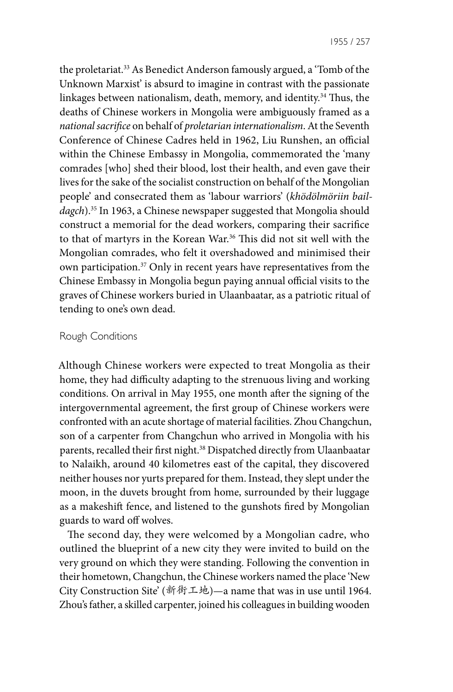1955 / 257

the proletariat.33 As Benedict Anderson famously argued, a 'Tomb of the Unknown Marxist' is absurd to imagine in contrast with the passionate linkages between nationalism, death, memory, and identity.34 Thus, the deaths of Chinese workers in Mongolia were ambiguously framed as a *national sacrifice* on behalf of *proletarian internationalism*. At the Seventh Conference of Chinese Cadres held in 1962, Liu Runshen, an official within the Chinese Embassy in Mongolia, commemorated the 'many comrades [who] shed their blood, lost their health, and even gave their lives for the sake of the socialist construction on behalf of the Mongolian people' and consecrated them as 'labour warriors' (*khödölmöriin baildagch*).35 In 1963, a Chinese newspaper suggested that Mongolia should construct a memorial for the dead workers, comparing their sacrifice to that of martyrs in the Korean War.<sup>36</sup> This did not sit well with the Mongolian comrades, who felt it overshadowed and minimised their own participation.37 Only in recent years have representatives from the Chinese Embassy in Mongolia begun paying annual official visits to the graves of Chinese workers buried in Ulaanbaatar, as a patriotic ritual of tending to one's own dead.

## Rough Conditions

Although Chinese workers were expected to treat Mongolia as their home, they had difficulty adapting to the strenuous living and working conditions. On arrival in May 1955, one month after the signing of the intergovernmental agreement, the first group of Chinese workers were confronted with an acute shortage of material facilities. Zhou Changchun, son of a carpenter from Changchun who arrived in Mongolia with his parents, recalled their first night.38 Dispatched directly from Ulaanbaatar to Nalaikh, around 40 kilometres east of the capital, they discovered neither houses nor yurts prepared for them. Instead, they slept under the moon, in the duvets brought from home, surrounded by their luggage as a makeshift fence, and listened to the gunshots fired by Mongolian guards to ward off wolves.

The second day, they were welcomed by a Mongolian cadre, who outlined the blueprint of a new city they were invited to build on the very ground on which they were standing. Following the convention in their hometown, Changchun, the Chinese workers named the place 'New City Construction Site' (新街工地)—a name that was in use until 1964. Zhou's father, a skilled carpenter, joined his colleagues in building wooden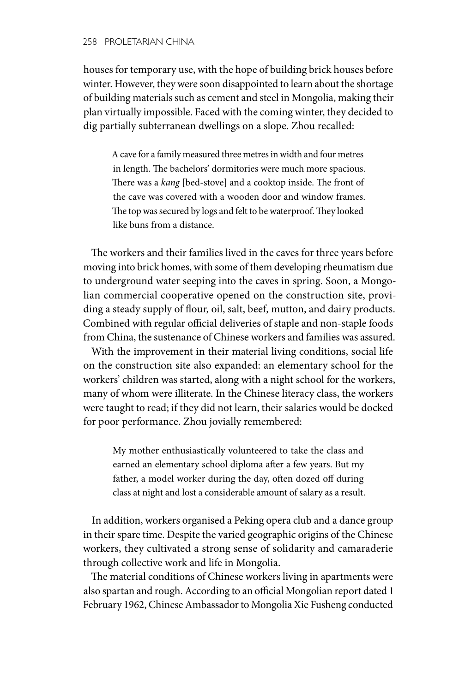houses for temporary use, with the hope of building brick houses before winter. However, they were soon disappointed to learn about the shortage of building materials such as cement and steel in Mongolia, making their plan virtually impossible. Faced with the coming winter, they decided to dig partially subterranean dwellings on a slope. Zhou recalled:

A cave for a family measured three metres in width and four metres in length. The bachelors' dormitories were much more spacious. There was a *kang* [bed-stove] and a cooktop inside. The front of the cave was covered with a wooden door and window frames. The top was secured by logs and felt to be waterproof. They looked like buns from a distance.

The workers and their families lived in the caves for three years before moving into brick homes, with some of them developing rheumatism due to underground water seeping into the caves in spring. Soon, a Mongolian commercial cooperative opened on the construction site, providing a steady supply of flour, oil, salt, beef, mutton, and dairy products. Combined with regular official deliveries of staple and non-staple foods from China, the sustenance of Chinese workers and families was assured.

With the improvement in their material living conditions, social life on the construction site also expanded: an elementary school for the workers' children was started, along with a night school for the workers, many of whom were illiterate. In the Chinese literacy class, the workers were taught to read; if they did not learn, their salaries would be docked for poor performance. Zhou jovially remembered:

My mother enthusiastically volunteered to take the class and earned an elementary school diploma after a few years. But my father, a model worker during the day, often dozed off during class at night and lost a considerable amount of salary as a result.

In addition, workers organised a Peking opera club and a dance group in their spare time. Despite the varied geographic origins of the Chinese workers, they cultivated a strong sense of solidarity and camaraderie through collective work and life in Mongolia.

The material conditions of Chinese workers living in apartments were also spartan and rough. According to an official Mongolian report dated 1 February 1962, Chinese Ambassador to Mongolia Xie Fusheng conducted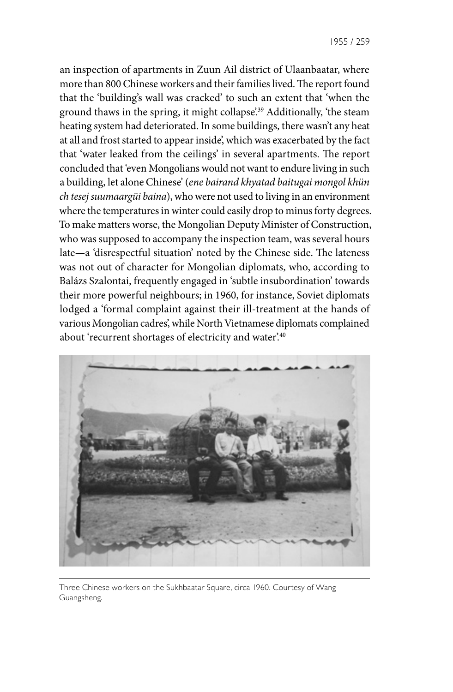an inspection of apartments in Zuun Ail district of Ulaanbaatar, where more than 800 Chinese workers and their families lived. The report found that the 'building's wall was cracked' to such an extent that 'when the ground thaws in the spring, it might collapse<sup>',39</sup> Additionally, 'the steam heating system had deteriorated. In some buildings, there wasn't any heat at all and frost started to appear inside', which was exacerbated by the fact that 'water leaked from the ceilings' in several apartments. The report concluded that 'even Mongolians would not want to endure living in such a building, let alone Chinese' (*ene bairand khyatad baitugai mongol khün ch tesej suumaargüi baina*), who were not used to living in an environment where the temperatures in winter could easily drop to minus forty degrees. To make matters worse, the Mongolian Deputy Minister of Construction, who was supposed to accompany the inspection team, was several hours late—a 'disrespectful situation' noted by the Chinese side. The lateness was not out of character for Mongolian diplomats, who, according to Balázs Szalontai, frequently engaged in 'subtle insubordination' towards their more powerful neighbours; in 1960, for instance, Soviet diplomats lodged a 'formal complaint against their ill-treatment at the hands of various Mongolian cadres', while North Vietnamese diplomats complained about 'recurrent shortages of electricity and water'.<sup>40</sup>



Three Chinese workers on the Sukhbaatar Square, circa 1960. Courtesy of Wang Guangsheng.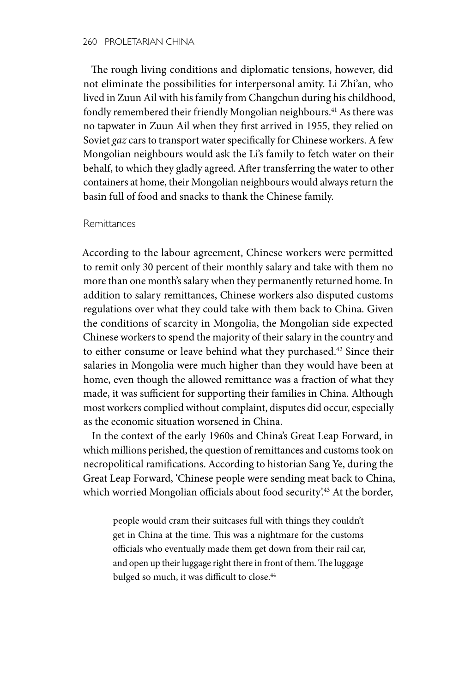The rough living conditions and diplomatic tensions, however, did not eliminate the possibilities for interpersonal amity. Li Zhi'an, who lived in Zuun Ail with his family from Changchun during his childhood, fondly remembered their friendly Mongolian neighbours.<sup>41</sup> As there was no tapwater in Zuun Ail when they first arrived in 1955, they relied on Soviet *gaz* cars to transport water specifically for Chinese workers. A few Mongolian neighbours would ask the Li's family to fetch water on their behalf, to which they gladly agreed. After transferring the water to other containers at home, their Mongolian neighbours would always return the basin full of food and snacks to thank the Chinese family.

#### Remittances

According to the labour agreement, Chinese workers were permitted to remit only 30 percent of their monthly salary and take with them no more than one month's salary when they permanently returned home. In addition to salary remittances, Chinese workers also disputed customs regulations over what they could take with them back to China. Given the conditions of scarcity in Mongolia, the Mongolian side expected Chinese workers to spend the majority of their salary in the country and to either consume or leave behind what they purchased.<sup>42</sup> Since their salaries in Mongolia were much higher than they would have been at home, even though the allowed remittance was a fraction of what they made, it was sufficient for supporting their families in China. Although most workers complied without complaint, disputes did occur, especially as the economic situation worsened in China.

In the context of the early 1960s and China's Great Leap Forward, in which millions perished, the question of remittances and customs took on necropolitical ramifications. According to historian Sang Ye, during the Great Leap Forward, 'Chinese people were sending meat back to China, which worried Mongolian officials about food security'.<sup>43</sup> At the border,

people would cram their suitcases full with things they couldn't get in China at the time. This was a nightmare for the customs officials who eventually made them get down from their rail car, and open up their luggage right there in front of them. The luggage bulged so much, it was difficult to close.<sup>44</sup>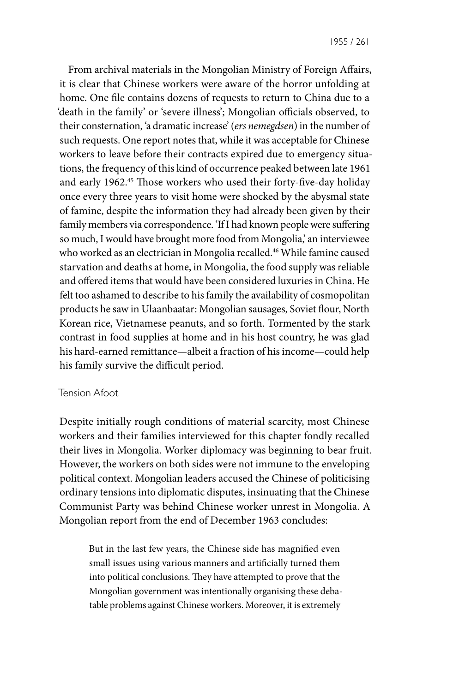From archival materials in the Mongolian Ministry of Foreign Affairs, it is clear that Chinese workers were aware of the horror unfolding at home. One file contains dozens of requests to return to China due to a 'death in the family' or 'severe illness'; Mongolian officials observed, to their consternation, 'a dramatic increase' (*ers nemegdsen*) in the number of such requests. One report notes that, while it was acceptable for Chinese workers to leave before their contracts expired due to emergency situations, the frequency of this kind of occurrence peaked between late 1961 and early 1962.<sup>45</sup> Those workers who used their forty-five-day holiday once every three years to visit home were shocked by the abysmal state of famine, despite the information they had already been given by their family members via correspondence. 'If I had known people were suffering so much, I would have brought more food from Mongolia,' an interviewee who worked as an electrician in Mongolia recalled.<sup>46</sup> While famine caused starvation and deaths at home, in Mongolia, the food supply was reliable and offered items that would have been considered luxuries in China. He felt too ashamed to describe to his family the availability of cosmopolitan products he saw in Ulaanbaatar: Mongolian sausages, Soviet flour, North Korean rice, Vietnamese peanuts, and so forth. Tormented by the stark contrast in food supplies at home and in his host country, he was glad his hard-earned remittance—albeit a fraction of his income—could help his family survive the difficult period.

## Tension Afoot

Despite initially rough conditions of material scarcity, most Chinese workers and their families interviewed for this chapter fondly recalled their lives in Mongolia. Worker diplomacy was beginning to bear fruit. However, the workers on both sides were not immune to the enveloping political context. Mongolian leaders accused the Chinese of politicising ordinary tensions into diplomatic disputes, insinuating that the Chinese Communist Party was behind Chinese worker unrest in Mongolia. A Mongolian report from the end of December 1963 concludes:

But in the last few years, the Chinese side has magnified even small issues using various manners and artificially turned them into political conclusions. They have attempted to prove that the Mongolian government was intentionally organising these debatable problems against Chinese workers. Moreover, it is extremely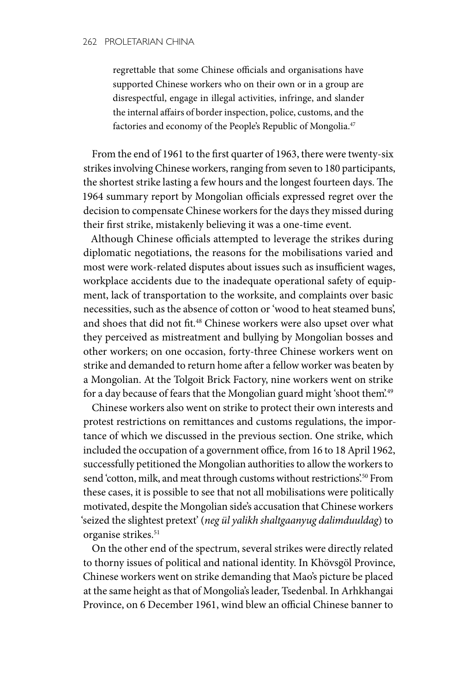regrettable that some Chinese officials and organisations have supported Chinese workers who on their own or in a group are disrespectful, engage in illegal activities, infringe, and slander the internal affairs of border inspection, police, customs, and the factories and economy of the People's Republic of Mongolia.47

From the end of 1961 to the first quarter of 1963, there were twenty-six strikes involving Chinese workers, ranging from seven to 180 participants, the shortest strike lasting a few hours and the longest fourteen days. The 1964 summary report by Mongolian officials expressed regret over the decision to compensate Chinese workers for the days they missed during their first strike, mistakenly believing it was a one-time event.

Although Chinese officials attempted to leverage the strikes during diplomatic negotiations, the reasons for the mobilisations varied and most were work-related disputes about issues such as insufficient wages, workplace accidents due to the inadequate operational safety of equipment, lack of transportation to the worksite, and complaints over basic necessities, such as the absence of cotton or 'wood to heat steamed buns', and shoes that did not fit.48 Chinese workers were also upset over what they perceived as mistreatment and bullying by Mongolian bosses and other workers; on one occasion, forty-three Chinese workers went on strike and demanded to return home after a fellow worker was beaten by a Mongolian. At the Tolgoit Brick Factory, nine workers went on strike for a day because of fears that the Mongolian guard might 'shoot them'.<sup>49</sup>

Chinese workers also went on strike to protect their own interests and protest restrictions on remittances and customs regulations, the importance of which we discussed in the previous section. One strike, which included the occupation of a government office, from 16 to 18 April 1962, successfully petitioned the Mongolian authorities to allow the workers to send 'cotton, milk, and meat through customs without restrictions'.<sup>50</sup> From these cases, it is possible to see that not all mobilisations were politically motivated, despite the Mongolian side's accusation that Chinese workers 'seized the slightest pretext' (*neg ül yalikh shaltgaanyug dalimduuldag*) to organise strikes.<sup>51</sup>

On the other end of the spectrum, several strikes were directly related to thorny issues of political and national identity. In Khövsgöl Province, Chinese workers went on strike demanding that Mao's picture be placed at the same height as that of Mongolia's leader, Tsedenbal. In Arhkhangai Province, on 6 December 1961, wind blew an official Chinese banner to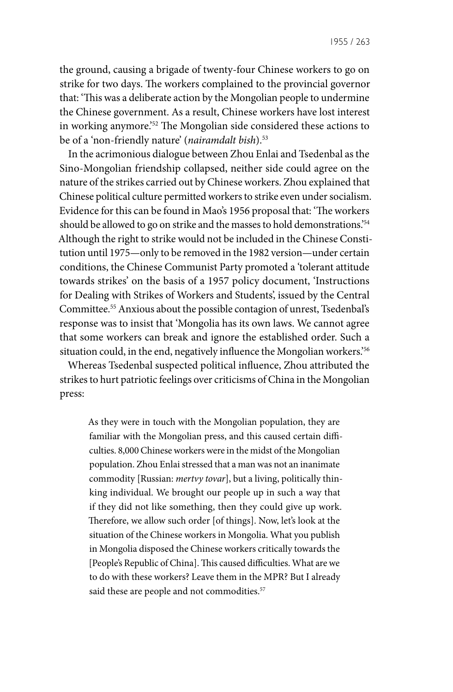1955 / 263

the ground, causing a brigade of twenty-four Chinese workers to go on strike for two days. The workers complained to the provincial governor that: 'This was a deliberate action by the Mongolian people to undermine the Chinese government. As a result, Chinese workers have lost interest in working anymore.'52 The Mongolian side considered these actions to be of a 'non-friendly nature' (*nairamdalt bish*).53

In the acrimonious dialogue between Zhou Enlai and Tsedenbal as the Sino-Mongolian friendship collapsed, neither side could agree on the nature of the strikes carried out by Chinese workers. Zhou explained that Chinese political culture permitted workers to strike even under socialism. Evidence for this can be found in Mao's 1956 proposal that: 'The workers should be allowed to go on strike and the masses to hold demonstrations.<sup>'54</sup> Although the right to strike would not be included in the Chinese Constitution until 1975—only to be removed in the 1982 version—under certain conditions, the Chinese Communist Party promoted a 'tolerant attitude towards strikes' on the basis of a 1957 policy document, 'Instructions for Dealing with Strikes of Workers and Students', issued by the Central Committee.55 Anxious about the possible contagion of unrest, Tsedenbal's response was to insist that 'Mongolia has its own laws. We cannot agree that some workers can break and ignore the established order. Such a situation could, in the end, negatively influence the Mongolian workers.'56

Whereas Tsedenbal suspected political influence, Zhou attributed the strikes to hurt patriotic feelings over criticisms of China in the Mongolian press:

As they were in touch with the Mongolian population, they are familiar with the Mongolian press, and this caused certain difficulties. 8,000 Chinese workers were in the midst of the Mongolian population. Zhou Enlai stressed that a man was not an inanimate commodity [Russian: *mertvy tovar*], but a living, politically thinking individual. We brought our people up in such a way that if they did not like something, then they could give up work. Therefore, we allow such order [of things]. Now, let's look at the situation of the Chinese workers in Mongolia. What you publish in Mongolia disposed the Chinese workers critically towards the [People's Republic of China]. This caused difficulties. What are we to do with these workers? Leave them in the MPR? But I already said these are people and not commodities.<sup>57</sup>